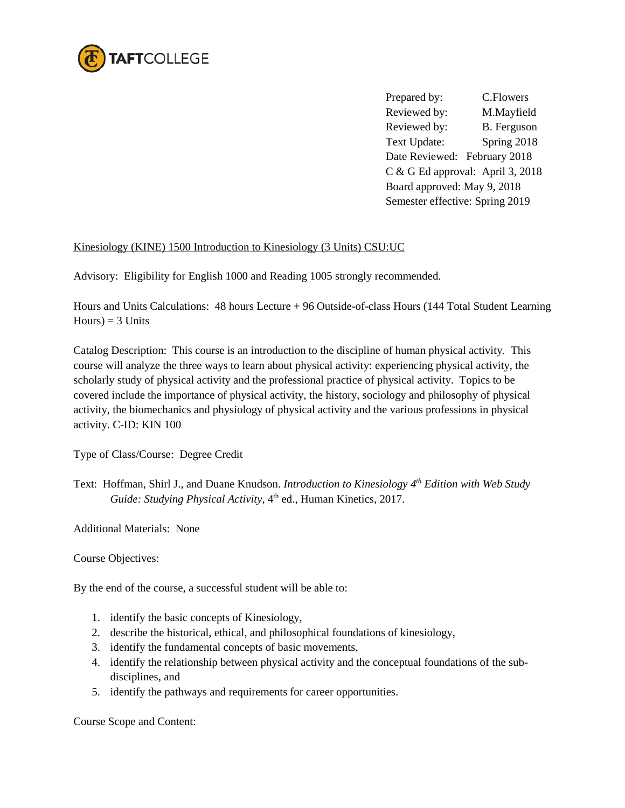

Prepared by: C.Flowers Reviewed by: M.Mayfield Reviewed by: B. Ferguson Text Update: Spring 2018 Date Reviewed: February 2018 C & G Ed approval: April 3, 2018 Board approved: May 9, 2018 Semester effective: Spring 2019

## Kinesiology (KINE) 1500 Introduction to Kinesiology (3 Units) CSU:UC

Advisory: Eligibility for English 1000 and Reading 1005 strongly recommended.

Hours and Units Calculations: 48 hours Lecture + 96 Outside-of-class Hours (144 Total Student Learning  $Hours$ ) = 3 Units

Catalog Description: This course is an introduction to the discipline of human physical activity. This course will analyze the three ways to learn about physical activity: experiencing physical activity, the scholarly study of physical activity and the professional practice of physical activity. Topics to be covered include the importance of physical activity, the history, sociology and philosophy of physical activity, the biomechanics and physiology of physical activity and the various professions in physical activity. C-ID: KIN 100

Type of Class/Course: Degree Credit

Text: Hoffman, Shirl J., and Duane Knudson. *Introduction to Kinesiology 4th Edition with Web Study Guide: Studying Physical Activity,* 4th ed., Human Kinetics, 2017.

Additional Materials: None

Course Objectives:

By the end of the course, a successful student will be able to:

- 1. identify the basic concepts of Kinesiology,
- 2. describe the historical, ethical, and philosophical foundations of kinesiology,
- 3. identify the fundamental concepts of basic movements,
- 4. identify the relationship between physical activity and the conceptual foundations of the subdisciplines, and
- 5. identify the pathways and requirements for career opportunities.

Course Scope and Content: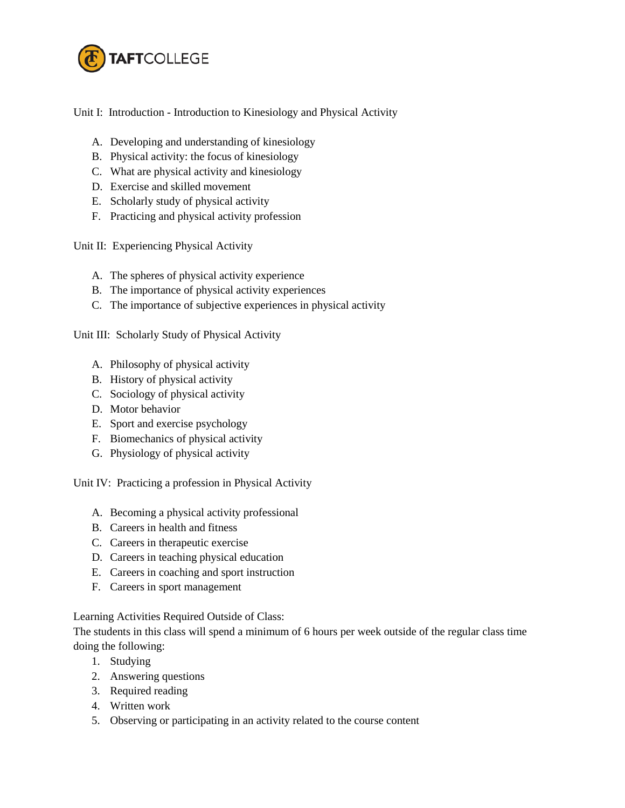

Unit I: Introduction - Introduction to Kinesiology and Physical Activity

- A. Developing and understanding of kinesiology
- B. Physical activity: the focus of kinesiology
- C. What are physical activity and kinesiology
- D. Exercise and skilled movement
- E. Scholarly study of physical activity
- F. Practicing and physical activity profession

Unit II: Experiencing Physical Activity

- A. The spheres of physical activity experience
- B. The importance of physical activity experiences
- C. The importance of subjective experiences in physical activity

Unit III: Scholarly Study of Physical Activity

- A. Philosophy of physical activity
- B. History of physical activity
- C. Sociology of physical activity
- D. Motor behavior
- E. Sport and exercise psychology
- F. Biomechanics of physical activity
- G. Physiology of physical activity

Unit IV: Practicing a profession in Physical Activity

- A. Becoming a physical activity professional
- B. Careers in health and fitness
- C. Careers in therapeutic exercise
- D. Careers in teaching physical education
- E. Careers in coaching and sport instruction
- F. Careers in sport management

Learning Activities Required Outside of Class:

The students in this class will spend a minimum of 6 hours per week outside of the regular class time doing the following:

- 1. Studying
- 2. Answering questions
- 3. Required reading
- 4. Written work
- 5. Observing or participating in an activity related to the course content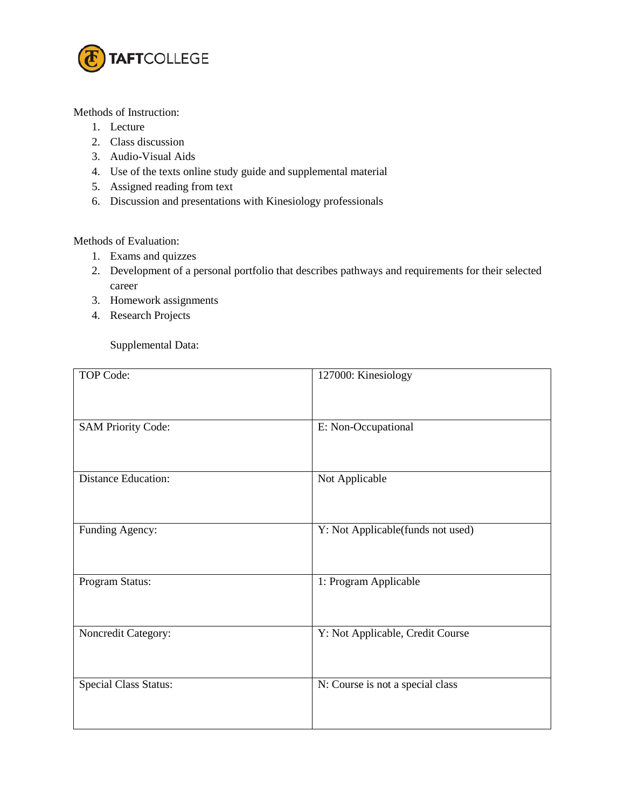

Methods of Instruction:

- 1. Lecture
- 2. Class discussion
- 3. Audio-Visual Aids
- 4. Use of the texts online study guide and supplemental material
- 5. Assigned reading from text
- 6. Discussion and presentations with Kinesiology professionals

Methods of Evaluation:

- 1. Exams and quizzes
- 2. Development of a personal portfolio that describes pathways and requirements for their selected career
- 3. Homework assignments
- 4. Research Projects

Supplemental Data:

| TOP Code:                    | 127000: Kinesiology               |
|------------------------------|-----------------------------------|
| <b>SAM Priority Code:</b>    | E: Non-Occupational               |
| <b>Distance Education:</b>   | Not Applicable                    |
| Funding Agency:              | Y: Not Applicable(funds not used) |
| Program Status:              | 1: Program Applicable             |
| Noncredit Category:          | Y: Not Applicable, Credit Course  |
| <b>Special Class Status:</b> | N: Course is not a special class  |